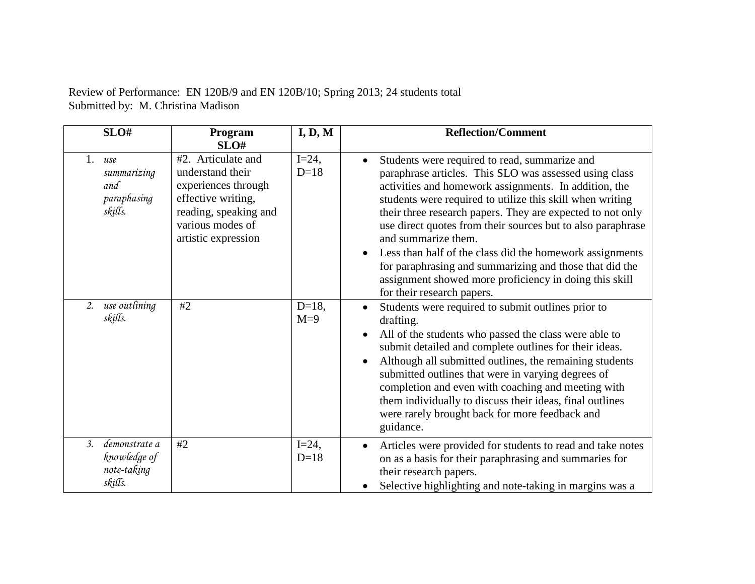| SLO#                                                          | Program<br>SLO#                                                                                                                                         | I, D, M            | <b>Reflection/Comment</b>                                                                                                                                                                                                                                                                                                                                                                                                                                                                                                                                                                        |
|---------------------------------------------------------------|---------------------------------------------------------------------------------------------------------------------------------------------------------|--------------------|--------------------------------------------------------------------------------------------------------------------------------------------------------------------------------------------------------------------------------------------------------------------------------------------------------------------------------------------------------------------------------------------------------------------------------------------------------------------------------------------------------------------------------------------------------------------------------------------------|
| 1.<br>use<br>summarizing<br>and<br>paraphasing<br>skills.     | #2. Articulate and<br>understand their<br>experiences through<br>effective writing,<br>reading, speaking and<br>various modes of<br>artistic expression | $I=24$ ,<br>$D=18$ | Students were required to read, summarize and<br>paraphrase articles. This SLO was assessed using class<br>activities and homework assignments. In addition, the<br>students were required to utilize this skill when writing<br>their three research papers. They are expected to not only<br>use direct quotes from their sources but to also paraphrase<br>and summarize them.<br>Less than half of the class did the homework assignments<br>for paraphrasing and summarizing and those that did the<br>assignment showed more proficiency in doing this skill<br>for their research papers. |
| use outlining<br>2.<br>skills.                                | #2                                                                                                                                                      | $D=18,$<br>$M=9$   | Students were required to submit outlines prior to<br>drafting.<br>All of the students who passed the class were able to<br>submit detailed and complete outlines for their ideas.<br>Although all submitted outlines, the remaining students<br>submitted outlines that were in varying degrees of<br>completion and even with coaching and meeting with<br>them individually to discuss their ideas, final outlines<br>were rarely brought back for more feedback and<br>guidance.                                                                                                             |
| 3.<br>demonstrate a<br>knowledge of<br>note-taking<br>skills. | #2                                                                                                                                                      | $I=24$ ,<br>$D=18$ | Articles were provided for students to read and take notes<br>on as a basis for their paraphrasing and summaries for<br>their research papers.<br>Selective highlighting and note-taking in margins was a                                                                                                                                                                                                                                                                                                                                                                                        |

Review of Performance: EN 120B/9 and EN 120B/10; Spring 2013; 24 students total Submitted by: M. Christina Madison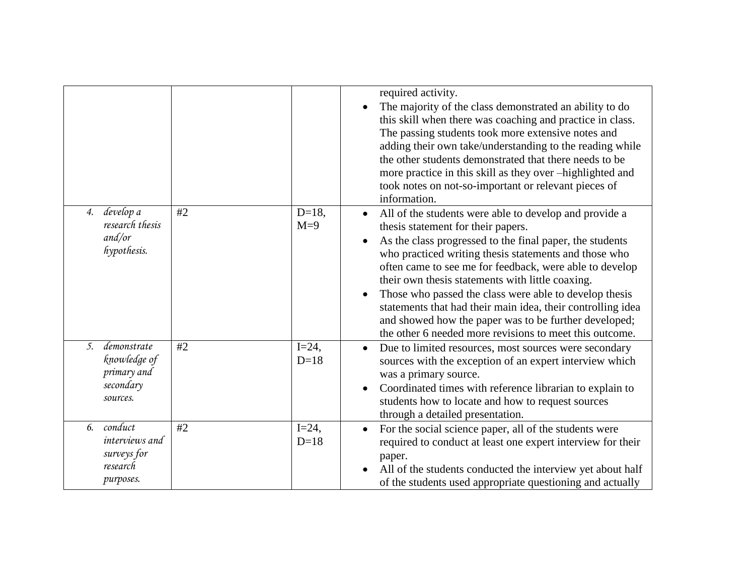|                                                                                         |    |                    | required activity.<br>The majority of the class demonstrated an ability to do<br>$\bullet$<br>this skill when there was coaching and practice in class.<br>The passing students took more extensive notes and<br>adding their own take/understanding to the reading while<br>the other students demonstrated that there needs to be<br>more practice in this skill as they over -highlighted and<br>took notes on not-so-important or relevant pieces of<br>information.                                                                                                                                             |
|-----------------------------------------------------------------------------------------|----|--------------------|----------------------------------------------------------------------------------------------------------------------------------------------------------------------------------------------------------------------------------------------------------------------------------------------------------------------------------------------------------------------------------------------------------------------------------------------------------------------------------------------------------------------------------------------------------------------------------------------------------------------|
| 4. develop a<br>research thesis<br>and/or<br>hypothesis.                                | #2 | $D=18,$<br>$M=9$   | All of the students were able to develop and provide a<br>$\bullet$<br>thesis statement for their papers.<br>As the class progressed to the final paper, the students<br>$\bullet$<br>who practiced writing thesis statements and those who<br>often came to see me for feedback, were able to develop<br>their own thesis statements with little coaxing.<br>Those who passed the class were able to develop thesis<br>$\bullet$<br>statements that had their main idea, their controlling idea<br>and showed how the paper was to be further developed;<br>the other 6 needed more revisions to meet this outcome. |
| demonstrate<br>$\mathfrak{I}$ .<br>knowledge of<br>primary and<br>secondary<br>sources. | #2 | $I=24$ ,<br>$D=18$ | Due to limited resources, most sources were secondary<br>$\bullet$<br>sources with the exception of an expert interview which<br>was a primary source.<br>Coordinated times with reference librarian to explain to<br>$\bullet$<br>students how to locate and how to request sources<br>through a detailed presentation.                                                                                                                                                                                                                                                                                             |
| conduct<br>6.<br>interviews and<br>surveys for<br>research<br>purposes.                 | #2 | $I=24$ ,<br>$D=18$ | For the social science paper, all of the students were<br>$\bullet$<br>required to conduct at least one expert interview for their<br>paper.<br>All of the students conducted the interview yet about half<br>of the students used appropriate questioning and actually                                                                                                                                                                                                                                                                                                                                              |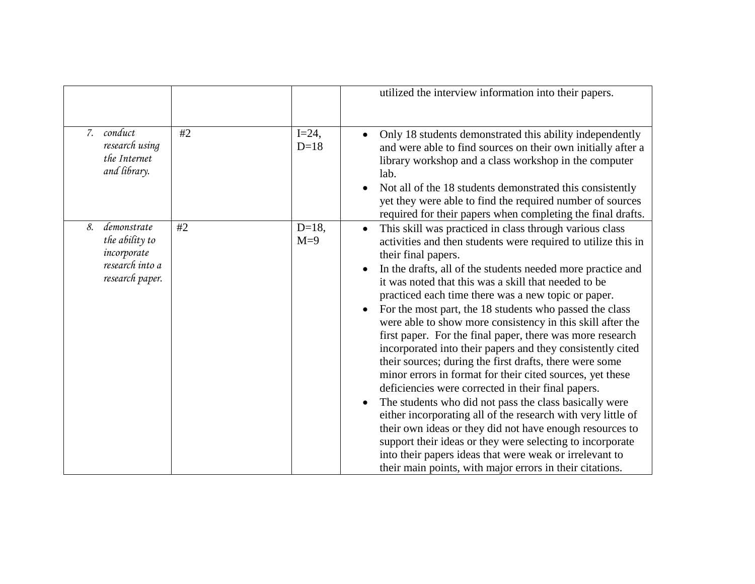|    |                                                                                    |    |                    | utilized the interview information into their papers.                                                                                                                                                                                                                                                                                                                                                                                                                                                                                                                                                                                                                                                                                                                                                                                                                                                                                                                                                                                                                                                                                                  |
|----|------------------------------------------------------------------------------------|----|--------------------|--------------------------------------------------------------------------------------------------------------------------------------------------------------------------------------------------------------------------------------------------------------------------------------------------------------------------------------------------------------------------------------------------------------------------------------------------------------------------------------------------------------------------------------------------------------------------------------------------------------------------------------------------------------------------------------------------------------------------------------------------------------------------------------------------------------------------------------------------------------------------------------------------------------------------------------------------------------------------------------------------------------------------------------------------------------------------------------------------------------------------------------------------------|
|    | 7. conduct<br>research using<br>the Internet<br>and library.                       | #2 | $I=24$ ,<br>$D=18$ | Only 18 students demonstrated this ability independently<br>and were able to find sources on their own initially after a<br>library workshop and a class workshop in the computer<br>lab.<br>Not all of the 18 students demonstrated this consistently<br>yet they were able to find the required number of sources<br>required for their papers when completing the final drafts.                                                                                                                                                                                                                                                                                                                                                                                                                                                                                                                                                                                                                                                                                                                                                                     |
| 8. | demonstrate<br>the ability to<br>incorporate<br>research into a<br>research paper. | #2 | $D=18,$<br>$M=9$   | This skill was practiced in class through various class<br>$\bullet$<br>activities and then students were required to utilize this in<br>their final papers.<br>In the drafts, all of the students needed more practice and<br>it was noted that this was a skill that needed to be<br>practiced each time there was a new topic or paper.<br>For the most part, the 18 students who passed the class<br>were able to show more consistency in this skill after the<br>first paper. For the final paper, there was more research<br>incorporated into their papers and they consistently cited<br>their sources; during the first drafts, there were some<br>minor errors in format for their cited sources, yet these<br>deficiencies were corrected in their final papers.<br>The students who did not pass the class basically were<br>either incorporating all of the research with very little of<br>their own ideas or they did not have enough resources to<br>support their ideas or they were selecting to incorporate<br>into their papers ideas that were weak or irrelevant to<br>their main points, with major errors in their citations. |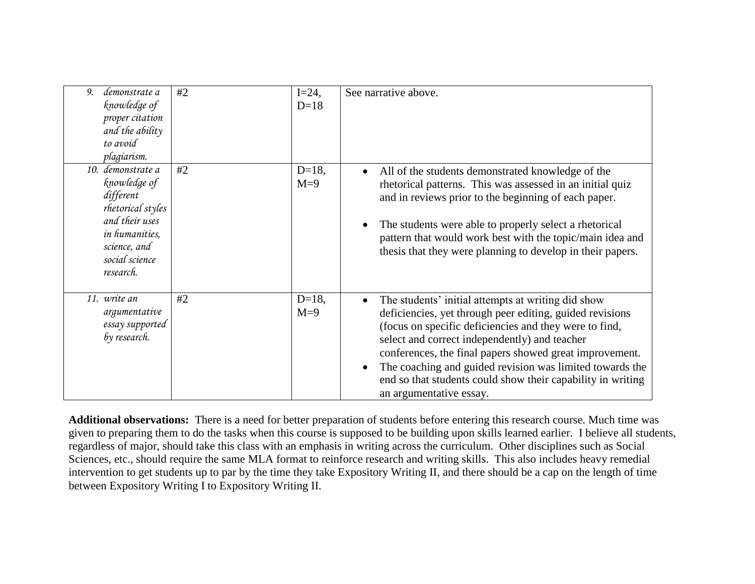| 9. | demonstrate a<br>knowledge of<br>proper citation<br>and the ability<br>to avoid<br>plagiarism.                                                         | #2 | $I=24$ ,<br>$D=18$ | See narrative above.                                                                                                                                                                                                                                                                                                                                                                                                                       |
|----|--------------------------------------------------------------------------------------------------------------------------------------------------------|----|--------------------|--------------------------------------------------------------------------------------------------------------------------------------------------------------------------------------------------------------------------------------------------------------------------------------------------------------------------------------------------------------------------------------------------------------------------------------------|
|    | 10. demonstrate a<br>knowledge of<br>different<br>rhetorical styles<br>and their uses<br>in humanities,<br>science, and<br>social science<br>research. | #2 | $D=18$ ,<br>$M=9$  | All of the students demonstrated knowledge of the<br>$\bullet$<br>rhetorical patterns. This was assessed in an initial quiz<br>and in reviews prior to the beginning of each paper.<br>The students were able to properly select a rhetorical<br>pattern that would work best with the topic/main idea and<br>thesis that they were planning to develop in their papers.                                                                   |
|    | 11. write an<br>argumentative<br>essay supported<br>by research.                                                                                       | #2 | $D=18,$<br>$M=9$   | The students' initial attempts at writing did show<br>deficiencies, yet through peer editing, guided revisions<br>(focus on specific deficiencies and they were to find,<br>select and correct independently) and teacher<br>conferences, the final papers showed great improvement.<br>The coaching and guided revision was limited towards the<br>end so that students could show their capability in writing<br>an argumentative essay. |

**Additional observations:** There is a need for better preparation of students before entering this research course. Much time was given to preparing them to do the tasks when this course is supposed to be building upon skills learned earlier. I believe all students, regardless of major, should take this class with an emphasis in writing across the curriculum. Other disciplines such as Social Sciences, etc., should require the same MLA format to reinforce research and writing skills. This also includes heavy remedial intervention to get students up to par by the time they take Expository Writing II, and there should be a cap on the length of time between Expository Writing I to Expository Writing II.